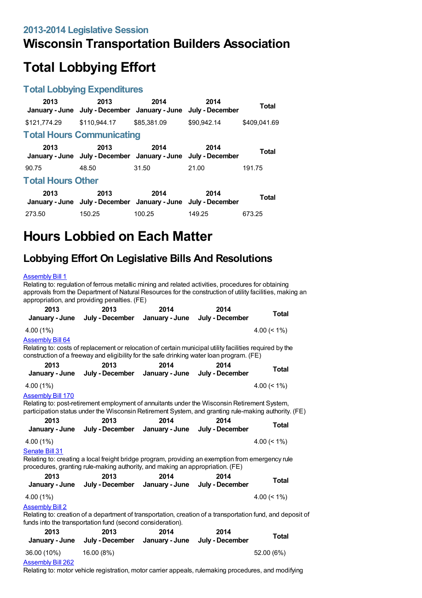### **Wisconsin Transportation Builders Association**

# **Total Lobbying Effort**

#### **Total Lobbying Expenditures**

| 2013                             | 2013<br>January - June July - December January - June July - December | 2014        | 2014        | <b>Total</b> |  |  |
|----------------------------------|-----------------------------------------------------------------------|-------------|-------------|--------------|--|--|
| \$121,774.29                     | \$110,944.17                                                          | \$85,381.09 | \$90.942.14 | \$409.041.69 |  |  |
| <b>Total Hours Communicating</b> |                                                                       |             |             |              |  |  |
| 2013                             | 2013<br>January - June July - December January - June July - December | 2014        | 2014        | Total        |  |  |
| 90.75                            | 48.50                                                                 | 31.50       | 21.00       | 191.75       |  |  |
| <b>Total Hours Other</b>         |                                                                       |             |             |              |  |  |
| 2013                             | 2013<br>January - June July - December January - June July - December | 2014        | 2014        | <b>Total</b> |  |  |
| 273.50                           | 150.25                                                                | 100.25      | 149.25      | 673.25       |  |  |

## **Hours Lobbied on Each Matter**

### **Lobbying Effort On Legislative Bills And Resolutions**

#### [Assembly](https://lobbying.wi.gov/What/BillInformation/2013REG/Information/9634?tab=Efforts) Bill 1

Relating to: regulation of ferrous metallic mining and related activities, procedures for obtaining approvals from the Department of Natural Resources for the construction of utility facilities, making an appropriation, and providing penalties. (FE)

| 2013<br>January - June                                                                                                                                                                                                           | 2013<br>July - December                                                                                                                                                                             | 2014<br>January - June | 2014<br>July - December | <b>Total</b>   |  |
|----------------------------------------------------------------------------------------------------------------------------------------------------------------------------------------------------------------------------------|-----------------------------------------------------------------------------------------------------------------------------------------------------------------------------------------------------|------------------------|-------------------------|----------------|--|
| 4.00 (1%)                                                                                                                                                                                                                        |                                                                                                                                                                                                     |                        |                         | 4.00 $(< 1\%)$ |  |
| <b>Assembly Bill 64</b>                                                                                                                                                                                                          | Relating to: costs of replacement or relocation of certain municipal utility facilities required by the<br>construction of a freeway and eligibility for the safe drinking water loan program. (FE) |                        |                         |                |  |
| 2013                                                                                                                                                                                                                             | 2013                                                                                                                                                                                                | 2014                   | 2014                    | <b>Total</b>   |  |
| January - June                                                                                                                                                                                                                   | July - December                                                                                                                                                                                     | January - June         | July - December         |                |  |
| 4.00 (1%)                                                                                                                                                                                                                        |                                                                                                                                                                                                     |                        |                         | 4.00 $(< 1\%)$ |  |
| <b>Assembly Bill 170</b><br>Relating to: post-retirement employment of annuitants under the Wisconsin Retirement System,<br>participation status under the Wisconsin Retirement System, and granting rule-making authority. (FE) |                                                                                                                                                                                                     |                        |                         |                |  |
| 2013                                                                                                                                                                                                                             | 2013                                                                                                                                                                                                | 2014                   | 2014                    | <b>Total</b>   |  |
| January - June                                                                                                                                                                                                                   | July - December                                                                                                                                                                                     | January - June         | July - December         |                |  |
| 4.00 (1%)                                                                                                                                                                                                                        |                                                                                                                                                                                                     |                        |                         | 4.00 $(< 1\%)$ |  |
| Senate Bill 31                                                                                                                                                                                                                   | Relating to: creating a local freight bridge program, providing an exemption from emergency rule<br>procedures, granting rule-making authority, and making an appropriation. (FE)                   |                        |                         |                |  |
| 2013                                                                                                                                                                                                                             | 2013                                                                                                                                                                                                | 2014                   | 2014                    | <b>Total</b>   |  |
| January - June                                                                                                                                                                                                                   | July - December January - June                                                                                                                                                                      |                        | July - December         |                |  |
| 4.00 (1%)                                                                                                                                                                                                                        |                                                                                                                                                                                                     |                        |                         | 4.00 $(< 1\%)$ |  |
| <b>Assembly Bill 2</b><br>Relating to: creation of a department of transportation, creation of a transportation fund, and deposit of<br>funds into the transportation fund (second consideration).                               |                                                                                                                                                                                                     |                        |                         |                |  |
| 2013                                                                                                                                                                                                                             | 2013                                                                                                                                                                                                | 2014                   | 2014                    | <b>Total</b>   |  |
| January - June                                                                                                                                                                                                                   | July - December                                                                                                                                                                                     | January - June         | July - December         |                |  |
| 36.00 (10%)                                                                                                                                                                                                                      | 16.00 (8%)                                                                                                                                                                                          |                        |                         | 52.00 (6%)     |  |
|                                                                                                                                                                                                                                  |                                                                                                                                                                                                     |                        |                         |                |  |

#### [Assembly](https://lobbying.wi.gov/What/BillInformation/2013REG/Information/10213?tab=Efforts) Bill 262

Relating to: motor vehicle registration, motor carrier appeals, rulemaking procedures, and modifying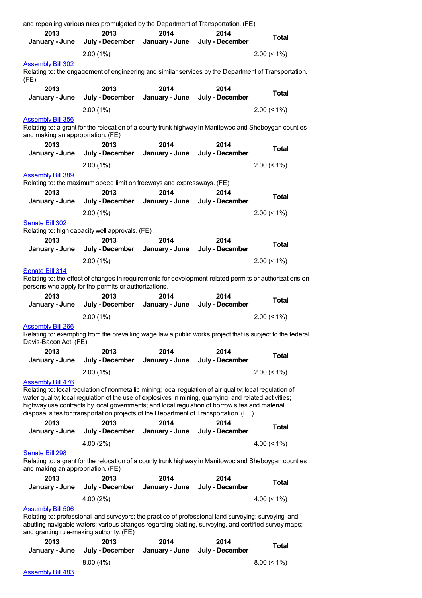| January - June                                                | July - December                                                                                                                                                                                                                                                                                                                                                                                                      | January - June         | July - December         | <b>Total</b>      |
|---------------------------------------------------------------|----------------------------------------------------------------------------------------------------------------------------------------------------------------------------------------------------------------------------------------------------------------------------------------------------------------------------------------------------------------------------------------------------------------------|------------------------|-------------------------|-------------------|
|                                                               | $2.00(1\%)$                                                                                                                                                                                                                                                                                                                                                                                                          |                        |                         | $2.00 \le 1\%$    |
| <b>Assembly Bill 302</b>                                      |                                                                                                                                                                                                                                                                                                                                                                                                                      |                        |                         |                   |
| (FE)                                                          | Relating to: the engagement of engineering and similar services by the Department of Transportation.                                                                                                                                                                                                                                                                                                                 |                        |                         |                   |
| 2013<br>January - June                                        | 2013<br>July - December                                                                                                                                                                                                                                                                                                                                                                                              | 2014<br>January - June | 2014<br>July - December | <b>Total</b>      |
|                                                               | 2.00(1%)                                                                                                                                                                                                                                                                                                                                                                                                             |                        |                         | $2.00 \le 1\%$    |
| <b>Assembly Bill 356</b><br>and making an appropriation. (FE) | Relating to: a grant for the relocation of a county trunk highway in Manitowoc and Sheboygan counties                                                                                                                                                                                                                                                                                                                |                        |                         |                   |
| 2013                                                          | 2013                                                                                                                                                                                                                                                                                                                                                                                                                 | 2014                   | 2014                    | <b>Total</b>      |
| January - June                                                | July - December                                                                                                                                                                                                                                                                                                                                                                                                      | January - June         | July - December         |                   |
|                                                               | $2.00(1\%)$                                                                                                                                                                                                                                                                                                                                                                                                          |                        |                         | $2.00 (< 1\%)$    |
| <b>Assembly Bill 389</b><br>2013                              | Relating to: the maximum speed limit on freeways and expressways. (FE)<br>2013                                                                                                                                                                                                                                                                                                                                       | 2014                   | 2014                    | <b>Total</b>      |
| January - June                                                | July - December                                                                                                                                                                                                                                                                                                                                                                                                      | January - June         | July - December         |                   |
|                                                               | 2.00(1%)                                                                                                                                                                                                                                                                                                                                                                                                             |                        |                         | $2.00 \le 1\%$    |
| Senate Bill 302<br>2013                                       | Relating to: high capacity well approvals. (FE)<br>2013                                                                                                                                                                                                                                                                                                                                                              | 2014                   | 2014                    | <b>Total</b>      |
| January - June                                                | July - December                                                                                                                                                                                                                                                                                                                                                                                                      | January - June         | July - December         |                   |
|                                                               | 2.00(1%)                                                                                                                                                                                                                                                                                                                                                                                                             |                        |                         | $2.00 \le 1\%$    |
| 2013                                                          | persons who apply for the permits or authorizations.<br>2013                                                                                                                                                                                                                                                                                                                                                         | 2014                   | 2014                    | <b>Total</b>      |
| January - June                                                | July - December                                                                                                                                                                                                                                                                                                                                                                                                      | January - June         | July - December         |                   |
|                                                               | 2.00(1%)                                                                                                                                                                                                                                                                                                                                                                                                             |                        |                         | $2.00 \le 1\%$    |
| <b>Assembly Bill 266</b><br>Davis-Bacon Act. (FE)             | Relating to: exempting from the prevailing wage law a public works project that is subject to the federal                                                                                                                                                                                                                                                                                                            |                        |                         |                   |
| 2013<br>January - June                                        | 2013<br>July - December                                                                                                                                                                                                                                                                                                                                                                                              | 2014<br>January - June | 2014<br>July - December | <b>Total</b>      |
|                                                               | $2.00(1\%)$                                                                                                                                                                                                                                                                                                                                                                                                          |                        |                         | $2.00 \le 1\%$    |
| <b>Assembly Bill 476</b><br>2013                              | Relating to: local regulation of nonmetallic mining; local regulation of air quality; local regulation of<br>water quality; local regulation of the use of explosives in mining, quarrying, and related activities;<br>highway use contracts by local governments; and local regulation of borrow sites and material<br>disposal sites for transportation projects of the Department of Transportation. (FE)<br>2013 | 2014                   | 2014                    | <b>Total</b>      |
| January - June                                                | July - December                                                                                                                                                                                                                                                                                                                                                                                                      | January - June         | July - December         |                   |
|                                                               | 4.00(2%)                                                                                                                                                                                                                                                                                                                                                                                                             |                        |                         | $4.00 \le 1\%$    |
| Senate Bill 298<br>and making an appropriation. (FE)          | Relating to: a grant for the relocation of a county trunk highway in Manitowoc and Sheboygan counties                                                                                                                                                                                                                                                                                                                |                        |                         |                   |
| 2013                                                          | 2013                                                                                                                                                                                                                                                                                                                                                                                                                 | 2014                   | 2014                    | <b>Total</b>      |
| January - June                                                | July - December                                                                                                                                                                                                                                                                                                                                                                                                      | January - June         | July - December         |                   |
| <b>Assembly Bill 506</b>                                      | 4.00 (2%)<br>Relating to: professional land surveyors; the practice of professional land surveying; surveying land<br>abutting navigable waters; various changes regarding platting, surveying, and certified survey maps;<br>and granting rule-making authority. (FE)                                                                                                                                               |                        |                         | 4.00 $($ < 1% $)$ |
| 2013<br>January - June                                        | 2013<br>July - December                                                                                                                                                                                                                                                                                                                                                                                              | 2014<br>January - June | 2014<br>July - December | Total             |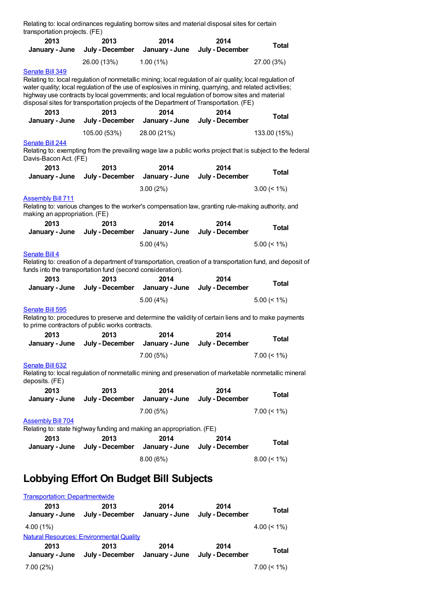| Relating to: local ordinances regulating borrow sites and material disposal sites for certain<br>transportation projects. (FE) |  |                         |                                                                      |                                                                                                                                                                                                                                                                                                                                                                                                              |                                                                                                                            |
|--------------------------------------------------------------------------------------------------------------------------------|--|-------------------------|----------------------------------------------------------------------|--------------------------------------------------------------------------------------------------------------------------------------------------------------------------------------------------------------------------------------------------------------------------------------------------------------------------------------------------------------------------------------------------------------|----------------------------------------------------------------------------------------------------------------------------|
| 2013<br>January - June                                                                                                         |  | 2013<br>July - December | 2014<br>January - June                                               | 2014<br>July - December                                                                                                                                                                                                                                                                                                                                                                                      | <b>Total</b>                                                                                                               |
|                                                                                                                                |  | 26.00 (13%)             | 1.00(1%)                                                             |                                                                                                                                                                                                                                                                                                                                                                                                              | 27.00 (3%)                                                                                                                 |
| Senate Bill 349                                                                                                                |  |                         |                                                                      | Relating to: local regulation of nonmetallic mining; local regulation of air quality; local regulation of<br>water quality; local regulation of the use of explosives in mining, quarrying, and related activities;<br>highway use contracts by local governments; and local regulation of borrow sites and material<br>disposal sites for transportation projects of the Department of Transportation. (FE) |                                                                                                                            |
| 2013<br>January - June                                                                                                         |  | 2013<br>July - December | 2014<br>January - June                                               | 2014<br>July - December                                                                                                                                                                                                                                                                                                                                                                                      | <b>Total</b>                                                                                                               |
|                                                                                                                                |  | 105.00 (53%)            | 28.00 (21%)                                                          |                                                                                                                                                                                                                                                                                                                                                                                                              | 133.00 (15%)                                                                                                               |
| Senate Bill 244<br>Davis-Bacon Act. (FE)                                                                                       |  |                         |                                                                      |                                                                                                                                                                                                                                                                                                                                                                                                              | Relating to: exempting from the prevailing wage law a public works project that is subject to the federal                  |
| 2013<br>January - June                                                                                                         |  | 2013<br>July - December | 2014<br>January - June                                               | 2014<br>July - December                                                                                                                                                                                                                                                                                                                                                                                      | <b>Total</b>                                                                                                               |
|                                                                                                                                |  |                         | 3.00(2%)                                                             |                                                                                                                                                                                                                                                                                                                                                                                                              | $3.00 \le 1\%$                                                                                                             |
| <b>Assembly Bill 711</b><br>making an appropriation. (FE)                                                                      |  |                         |                                                                      | Relating to: various changes to the worker's compensation law, granting rule-making authority, and                                                                                                                                                                                                                                                                                                           |                                                                                                                            |
| 2013<br>January - June                                                                                                         |  | 2013<br>July - December | 2014<br>January - June                                               | 2014<br>July - December                                                                                                                                                                                                                                                                                                                                                                                      | <b>Total</b>                                                                                                               |
|                                                                                                                                |  |                         | 5.00(4%)                                                             |                                                                                                                                                                                                                                                                                                                                                                                                              | $5.00 \le 1\%$                                                                                                             |
| <b>Senate Bill 4</b><br>funds into the transportation fund (second consideration).<br>2013<br>January - June                   |  | 2013<br>July - December | 2014<br>January - June                                               | 2014<br>July - December                                                                                                                                                                                                                                                                                                                                                                                      | Relating to: creation of a department of transportation, creation of a transportation fund, and deposit of<br><b>Total</b> |
|                                                                                                                                |  |                         | 5.00(4%)                                                             |                                                                                                                                                                                                                                                                                                                                                                                                              | $5.00 \le 1\%$                                                                                                             |
| Senate Bill 595                                                                                                                |  |                         |                                                                      |                                                                                                                                                                                                                                                                                                                                                                                                              |                                                                                                                            |
| to prime contractors of public works contracts.                                                                                |  |                         |                                                                      | Relating to: procedures to preserve and determine the validity of certain liens and to make payments                                                                                                                                                                                                                                                                                                         |                                                                                                                            |
| 2013<br>January - June                                                                                                         |  | 2013<br>July - December | 2014                                                                 | 2014<br>January - June July - December                                                                                                                                                                                                                                                                                                                                                                       | Total                                                                                                                      |
|                                                                                                                                |  |                         | 7.00(5%)                                                             |                                                                                                                                                                                                                                                                                                                                                                                                              | $7.00 (< 1\%)$                                                                                                             |
| Senate Bill 632<br>deposits. (FE)                                                                                              |  |                         |                                                                      | Relating to: local regulation of nonmetallic mining and preservation of marketable nonmetallic mineral                                                                                                                                                                                                                                                                                                       |                                                                                                                            |
| 2013<br>January - June                                                                                                         |  | 2013<br>July - December | 2014<br>January - June                                               | 2014<br>July - December                                                                                                                                                                                                                                                                                                                                                                                      | <b>Total</b>                                                                                                               |
|                                                                                                                                |  |                         | 7.00(5%)                                                             |                                                                                                                                                                                                                                                                                                                                                                                                              | $7.00 (< 1\%)$                                                                                                             |
| <b>Assembly Bill 704</b>                                                                                                       |  |                         | Relating to: state highway funding and making an appropriation. (FE) |                                                                                                                                                                                                                                                                                                                                                                                                              |                                                                                                                            |
| 2013<br>January - June                                                                                                         |  | 2013<br>July - December | 2014<br>January - June                                               | 2014<br>July - December                                                                                                                                                                                                                                                                                                                                                                                      | <b>Total</b>                                                                                                               |
|                                                                                                                                |  |                         | 8.00(6%)                                                             |                                                                                                                                                                                                                                                                                                                                                                                                              | $8.00 (< 1\%)$                                                                                                             |
| Lobbying Effort On Budget Bill Subjects                                                                                        |  |                         |                                                                      |                                                                                                                                                                                                                                                                                                                                                                                                              |                                                                                                                            |
| <b>Transportation: Departmentwide</b>                                                                                          |  |                         |                                                                      |                                                                                                                                                                                                                                                                                                                                                                                                              |                                                                                                                            |
| 2013                                                                                                                           |  | 2013                    | 2014                                                                 | 2014                                                                                                                                                                                                                                                                                                                                                                                                         | <b>Total</b>                                                                                                               |

**January - June July - December January - June July - December** 4.00 (1%) 4.00 (< 1%) Natural Resources: [Environmental](https://lobbying.wi.gov/What/BudgetBillSubjectInformation/2013REG/Information/650?tab=Efforts) Quality **2013 January - June July - December January - June July - December 2013 2014 2014 Total** 7.00 (2%) 7.00 (< 1%)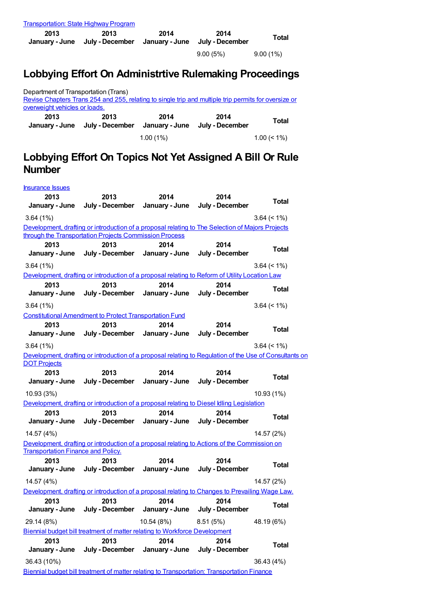| <b>Transportation: State Highway Program</b>                   |                 |                                                                                                         |                 |                 |
|----------------------------------------------------------------|-----------------|---------------------------------------------------------------------------------------------------------|-----------------|-----------------|
| 2013                                                           | 2013            | 2014                                                                                                    | 2014            | Total           |
| January - June                                                 | July - December | January - June                                                                                          | July - December |                 |
|                                                                |                 |                                                                                                         | 9.00(5%)        | $9.00(1\%)$     |
|                                                                |                 |                                                                                                         |                 |                 |
|                                                                |                 | Lobbying Effort On Administrtive Rulemaking Proceedings                                                 |                 |                 |
|                                                                |                 |                                                                                                         |                 |                 |
| Department of Transportation (Trans)                           |                 |                                                                                                         |                 |                 |
| overweight vehicles or loads.                                  |                 | Revise Chapters Trans 254 and 255, relating to single trip and multiple trip permits for oversize or    |                 |                 |
| 2013                                                           | 2013            | 2014                                                                                                    | 2014            |                 |
| January - June                                                 | July - December | January - June                                                                                          | July - December | Total           |
|                                                                |                 |                                                                                                         |                 |                 |
|                                                                |                 | $1.00(1\%)$                                                                                             |                 | $1.00 \le 1\%$  |
|                                                                |                 | Lobbying Effort On Topics Not Yet Assigned A Bill Or Rule                                               |                 |                 |
|                                                                |                 |                                                                                                         |                 |                 |
| <b>Number</b>                                                  |                 |                                                                                                         |                 |                 |
| <b>Insurance Issues</b>                                        |                 |                                                                                                         |                 |                 |
| 2013                                                           | 2013            | 2014                                                                                                    | 2014            |                 |
| January - June                                                 | July - December | January - June                                                                                          | July - December | <b>Total</b>    |
|                                                                |                 |                                                                                                         |                 |                 |
| 3.64(1%)                                                       |                 |                                                                                                         |                 | $3.64 \le 1\%$  |
| through the Transportation Projects Commission Process         |                 | Development, drafting or introduction of a proposal relating to The Selection of Majors Projects        |                 |                 |
| 2013                                                           | 2013            | 2014                                                                                                    | 2014            |                 |
| January - June                                                 | July - December | January - June                                                                                          | July - December | <b>Total</b>    |
| 3.64(1%)                                                       |                 |                                                                                                         |                 | $3.64 \le 1\%)$ |
|                                                                |                 | Development, drafting or introduction of a proposal relating to Reform of Utility Location Law          |                 |                 |
| 2013                                                           | 2013            | 2014                                                                                                    | 2014            |                 |
| January - June                                                 | July - December | January - June                                                                                          | July - December | Total           |
| 3.64(1%)                                                       |                 |                                                                                                         |                 | $3.64 \le 1\%$  |
| <b>Constitutional Amendment to Protect Transportation Fund</b> |                 |                                                                                                         |                 |                 |
| 2013                                                           | 2013            | 2014                                                                                                    | 2014            |                 |
| January - June                                                 | July - December | January - June                                                                                          | July - December | <b>Total</b>    |
| 3.64(1%)                                                       |                 |                                                                                                         |                 | $3.64 \le 1\%$  |
|                                                                |                 | Development, drafting or introduction of a proposal relating to Regulation of the Use of Consultants on |                 |                 |
| <b>DOT Projects</b>                                            |                 |                                                                                                         |                 |                 |
| 2013                                                           | 2013            | 2014                                                                                                    | 2014            |                 |
| January - June                                                 | July - December | January - June                                                                                          | July - December | <b>Total</b>    |
| 10.93 (3%)                                                     |                 |                                                                                                         |                 | 10.93 (1%)      |
|                                                                |                 | Development, drafting or introduction of a proposal relating to Diesel Idling Legislation               |                 |                 |
| 2013                                                           | 2013            | 2014                                                                                                    | 2014            |                 |
| January - June                                                 | July - December | January - June                                                                                          | July - December | <b>Total</b>    |
| 14.57 (4%)                                                     |                 |                                                                                                         |                 | 14.57 (2%)      |
|                                                                |                 | Development, drafting or introduction of a proposal relating to Actions of the Commission on            |                 |                 |
| <b>Transportation Finance and Policy.</b>                      |                 |                                                                                                         |                 |                 |
| 2013                                                           | 2013            | 2014                                                                                                    | 2014            | <b>Total</b>    |
| January - June                                                 | July - December | January - June                                                                                          | July - December |                 |
| 14.57 (4%)                                                     |                 |                                                                                                         |                 | 14.57 (2%)      |
|                                                                |                 | Development, drafting or introduction of a proposal relating to Changes to Prevailing Wage Law.         |                 |                 |
| 2013                                                           | 2013            | 2014                                                                                                    | 2014            | <b>Total</b>    |
| January - June                                                 | July - December | January - June                                                                                          | July - December |                 |
| 29.14 (8%)                                                     |                 | 10.54 (8%)                                                                                              | 8.51(5%)        | 48.19 (6%)      |
|                                                                |                 | Biennial budget bill treatment of matter relating to Workforce Development                              |                 |                 |
| 2013                                                           | 2013            | 2014                                                                                                    | 2014            |                 |
| January - June                                                 | July - December | January - June                                                                                          | July - December | <b>Total</b>    |
| 36.43 (10%)                                                    |                 |                                                                                                         |                 | 36.43 (4%)      |
|                                                                |                 | Biennial budget bill treatment of matter relating to Transportation: Transportation Finance             |                 |                 |